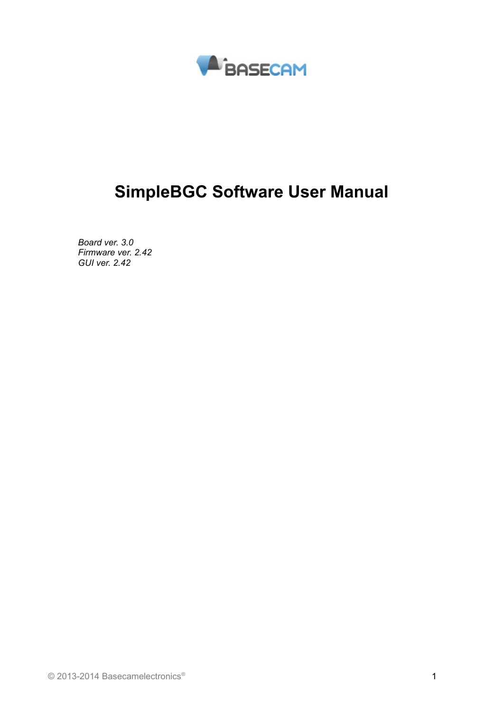

# **SimpleBGC Software User Manual**

*Board ver. 3.0 Firmware ver. 2.42 GUI ver. 2.42*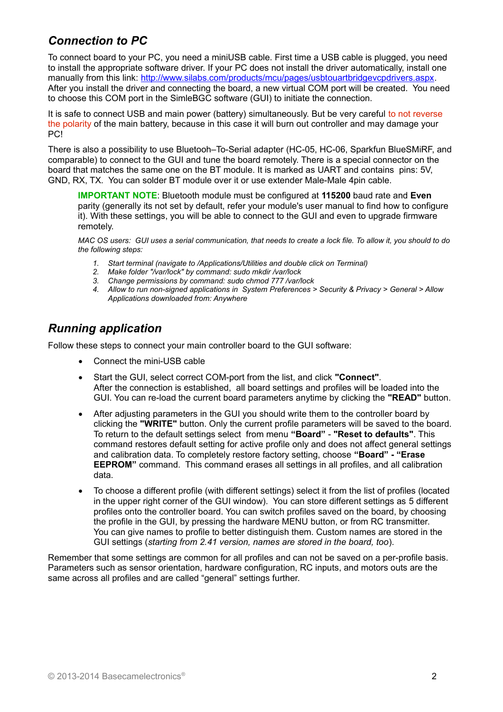## *Connection to PC*

To connect board to your PC, you need a miniUSB cable. First time a USB cable is plugged, you need to install the appropriate software driver. If your PC does not install the driver automatically, install one manually from this link: [http://www.silabs.com/products/mcu/pages/usbtouartbridgevcpdrivers.aspx.](http://www.silabs.com/products/mcu/pages/usbtouartbridgevcpdrivers.aspx) After you install the driver and connecting the board, a new virtual COM port will be created. You need to choose this COM port in the SimleBGC software (GUI) to initiate the connection.

It is safe to connect USB and main power (battery) simultaneously. But be very careful to not reverse the polarity of the main battery, because in this case it will burn out controller and may damage your PC!

There is also a possibility to use Bluetooh–To-Serial adapter (HC-05, HC-06, Sparkfun BlueSMiRF, and comparable) to connect to the GUI and tune the board remotely. There is a special connector on the board that matches the same one on the BT module. It is marked as UART and contains pins: 5V, GND, RX, TX. You can solder BT module over it or use extender Male-Male 4pin cable.

**IMPORTANT NOTE**: Bluetooth module must be configured at **115200** baud rate and **Even** parity (generally its not set by default, refer your module's user manual to find how to configure it). With these settings, you will be able to connect to the GUI and even to upgrade firmware remotely.

*MAC OS users: GUI uses a serial communication, that needs to create a lock file. To allow it, you should to do the following steps:*

- *1. Start terminal (navigate to /Applications/Utilities and double click on Terminal)*
- 
- *2. Make folder "/var/lock" by command: sudo mkdir /var/lock 3. Change permissions by command: sudo chmod 777 /var/lock*
- *4. Allow to run non-signed applications in System Preferences > Security & Privacy > General > Allow Applications downloaded from: Anywhere*

### *Running application*

Follow these steps to connect your main controller board to the GUI software:

- Connect the mini-USB cable
- Start the GUI, select correct COM-port from the list, and click **"Connect"**. After the connection is established, all board settings and profiles will be loaded into the GUI. You can re-load the current board parameters anytime by clicking the **"READ"** button.
- After adjusting parameters in the GUI you should write them to the controller board by clicking the **"WRITE"** button. Only the current profile parameters will be saved to the board. To return to the default settings select from menu **"Board"** - **"Reset to defaults"**. This command restores default setting for active profile only and does not affect general settings and calibration data. To completely restore factory setting, choose **"Board" - "Erase EEPROM"** command. This command erases all settings in all profiles, and all calibration data.
- To choose a different profile (with different settings) select it from the list of profiles (located in the upper right corner of the GUI window). You can store different settings as 5 different profiles onto the controller board. You can switch profiles saved on the board, by choosing the profile in the GUI, by pressing the hardware MENU button, or from RC transmitter. You can give names to profile to better distinguish them. Custom names are stored in the GUI settings (*starting from 2.41 version, names are stored in the board, too*).

Remember that some settings are common for all profiles and can not be saved on a per-profile basis. Parameters such as sensor orientation, hardware configuration, RC inputs, and motors outs are the same across all profiles and are called "general" settings further.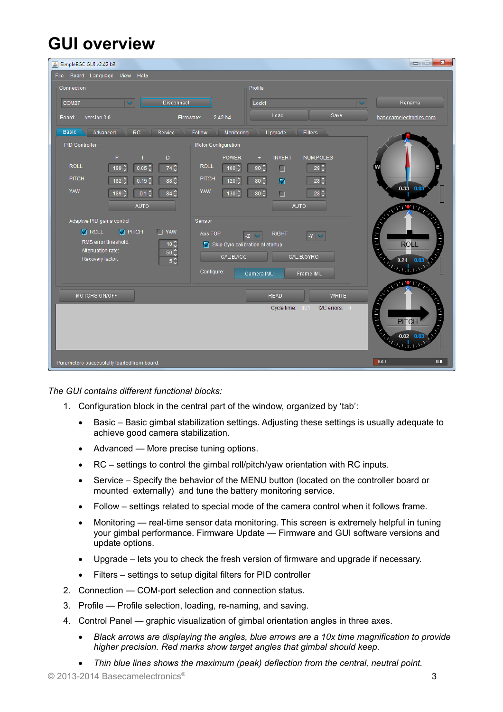# **GUI overview**

| SimpleBGC GUI v2.42 b3                                                                                | $\mathbf{x}$<br>$\begin{array}{c} \hline \end{array}$<br>$\qquad \qquad \blacksquare$ |  |  |
|-------------------------------------------------------------------------------------------------------|---------------------------------------------------------------------------------------|--|--|
| File Board Language<br>View Help                                                                      |                                                                                       |  |  |
| Connection                                                                                            | Profile                                                                               |  |  |
| Disconnect<br>COM27<br>$\checkmark$                                                                   | Lock1<br>Rename                                                                       |  |  |
| version 3.0<br>2.42 b4<br>Board:<br>Firmware:                                                         | Load<br>Save<br>basecamelectronics.com                                                |  |  |
| <b>Basic</b><br>Advanced<br><b>RC</b><br>Service<br>Follow<br>Monitoring<br>Upgrade<br><b>Filters</b> |                                                                                       |  |  |
| <b>PID Controller</b><br>Motor Configuration                                                          |                                                                                       |  |  |
| P<br>D                                                                                                | <b>NUM.POLES</b><br><b>POWER</b><br><b>INVERT</b><br>÷                                |  |  |
| <b>ROLL</b><br><b>ROLL</b><br>0.05 <sup>o</sup><br>$74^\circ$<br>$189^\circ$                          | $28^\circ$<br>$80^\circ$<br>$100^\circ$<br>□                                          |  |  |
| <b>PITCH</b><br><b>PITCH</b><br>0.15 <sup>o</sup><br>$88^\circ$<br>$182^\circ$                        | $28^\circ$<br>$120^\circ$<br>$80^\circ$<br>☑                                          |  |  |
| <b>YAW</b><br>YAW<br>$0.1\frac{6}{9}$<br>$84^\circ$<br>$189^\circ$                                    | $-0.33$ $0.03$<br>$28^\circ$<br>$80^\circ$<br>$130^\circ$<br>П                        |  |  |
| AUTO                                                                                                  | AUTO<br><b>THE READ</b>                                                               |  |  |
| Adaptive PID gains control<br>Sensor                                                                  |                                                                                       |  |  |
| <b>V</b> ROLL<br>$\sqrt{}$ PITCH<br>$\Box$ YAW<br>Axis TOP                                            | <b>RIGHT</b><br>$-Z$<br>$ -\gamma  \searrow$                                          |  |  |
| RMS error threshold:<br>$10\frac{2}{3}$<br>Attenuation rate:                                          | $\frac{1}{2}$<br><b>ROLL</b><br>Skip Gyro calibration at startup                      |  |  |
| $50\frac{6}{3}$<br>Recovery factor:<br>$5\frac{1}{2}$                                                 | CALIB.ACC<br>CALIB.GYRO<br>$0.24$ 0.03                                                |  |  |
| Configure:                                                                                            | kal <sub>ak</sub><br>Camera IMU<br>Frame IMU                                          |  |  |
|                                                                                                       | <b>THE READ</b>                                                                       |  |  |
| MOTORS ON/OFF                                                                                         | <b>READ</b><br><b>WRITE</b>                                                           |  |  |
|                                                                                                       | <b>ATTEN</b><br>I2C errors: 0<br>Cycle time:<br>801                                   |  |  |
|                                                                                                       | <b>PITCH</b>                                                                          |  |  |
|                                                                                                       | $-0.02$ 0.03<br>ang.                                                                  |  |  |
|                                                                                                       |                                                                                       |  |  |
| Parameters successfully loaded from board.                                                            | 0.0<br><b>BAT</b>                                                                     |  |  |

*The GUI contains different functional blocks:*

- 1. Configuration block in the central part of the window, organized by 'tab':
	- Basic Basic gimbal stabilization settings. Adjusting these settings is usually adequate to achieve good camera stabilization.
	- Advanced More precise tuning options.
	- RC settings to control the gimbal roll/pitch/yaw orientation with RC inputs.
	- Service Specify the behavior of the MENU button (located on the controller board or mounted externally) and tune the battery monitoring service.
	- Follow settings related to special mode of the camera control when it follows frame.
	- Monitoring real-time sensor data monitoring. This screen is extremely helpful in tuning your gimbal performance. Firmware Update — Firmware and GUI software versions and update options.
	- Upgrade lets you to check the fresh version of firmware and upgrade if necessary.
	- Filters settings to setup digital filters for PID controller
- 2. Connection COM-port selection and connection status.
- 3. Profile Profile selection, loading, re-naming, and saving.
- 4. Control Panel graphic visualization of gimbal orientation angles in three axes.
	- *Black arrows are displaying the angles, blue arrows are a 10x time magnification to provide higher precision. Red marks show target angles that gimbal should keep.*
	- *Thin blue lines shows the maximum (peak) deflection from the central, neutral point.*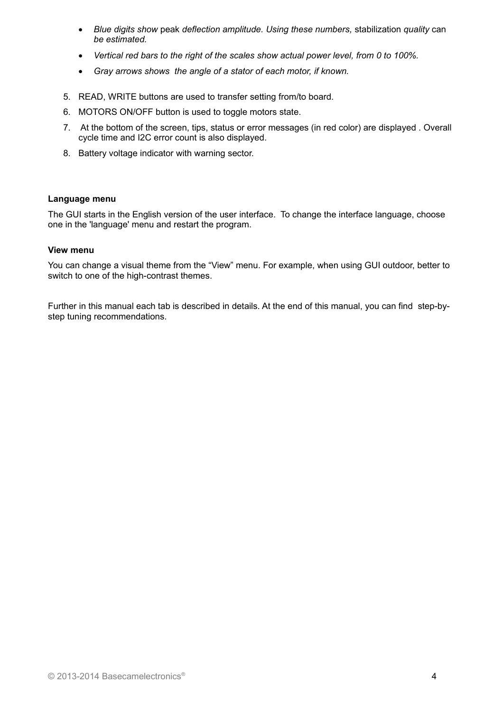- *Blue digits show* peak *deflection amplitude. Using these numbers,* stabilization *quality* can *be estimated.*
- *Vertical red bars to the right of the scales show actual power level, from 0 to 100%.*
- *Gray arrows shows the angle of a stator of each motor, if known.*
- 5. READ, WRITE buttons are used to transfer setting from/to board.
- 6. MOTORS ON/OFF button is used to toggle motors state.
- 7. At the bottom of the screen, tips, status or error messages (in red color) are displayed . Overall cycle time and I2C error count is also displayed.
- 8. Battery voltage indicator with warning sector.

#### **Language menu**

The GUI starts in the English version of the user interface. To change the interface language, choose one in the 'language' menu and restart the program.

#### **View menu**

You can change a visual theme from the "View" menu. For example, when using GUI outdoor, better to switch to one of the high-contrast themes.

Further in this manual each tab is described in details. At the end of this manual, you can find step-bystep tuning recommendations.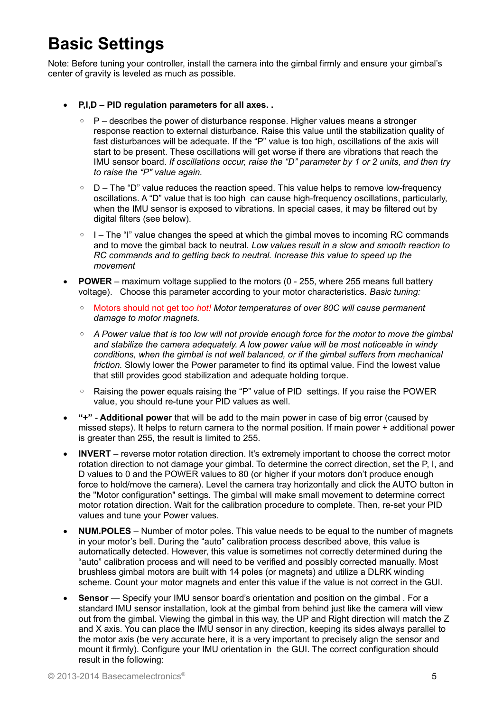# **Basic Settings**

Note: Before tuning your controller, install the camera into the gimbal firmly and ensure your gimbal's center of gravity is leveled as much as possible.

- **P,I,D PID regulation parameters for all axes. .**
	- P describes the power of disturbance response. Higher values means a stronger response reaction to external disturbance. Raise this value until the stabilization quality of fast disturbances will be adequate. If the "P" value is too high, oscillations of the axis will start to be present. These oscillations will get worse if there are vibrations that reach the IMU sensor board. *If oscillations occur, raise the "D" parameter by 1 or 2 units, and then try to raise the "P" value again.*
	- D The "D" value reduces the reaction speed. This value helps to remove low-frequency oscillations. A "D" value that is too high can cause high-frequency oscillations, particularly, when the IMU sensor is exposed to vibrations. In special cases, it may be filtered out by digital filters (see below).
	- I The "I" value changes the speed at which the gimbal moves to incoming RC commands and to move the gimbal back to neutral. *Low values result in a slow and smooth reaction to RC commands and to getting back to neutral. Increase this value to speed up the movement*
- POWER maximum voltage supplied to the motors (0 255, where 255 means full battery voltage). Choose this parameter according to your motor characteristics. *Basic tuning:*
	- Motors should not get to*o hot! Motor temperatures of over 80С will cause permanent damage to motor magnets.*
	- *A Power value that is too low will not provide enough force for the motor to move the gimbal and stabilize the camera adequately. A low power value will be most noticeable in windy conditions, when the gimbal is not well balanced, or if the gimbal suffers from mechanical friction.* Slowly lower the Power parameter to find its optimal value. Find the lowest value that still provides good stabilization and adequate holding torque.
	- Raising the power equals raising the "P" value of PID settings. If you raise the POWER value, you should re-tune your PID values as well.
- **"+" Additional power** that will be add to the main power in case of big error (caused by missed steps). It helps to return camera to the normal position. If main power + additional power is greater than 255, the result is limited to 255.
- **INVERT** reverse motor rotation direction. It's extremely important to choose the correct motor rotation direction to not damage your gimbal. To determine the correct direction, set the P, I, and D values to 0 and the POWER values to 80 (or higher if your motors don't produce enough force to hold/move the camera). Level the camera tray horizontally and click the AUTO button in the "Motor configuration" settings. The gimbal will make small movement to determine correct motor rotation direction. Wait for the calibration procedure to complete. Then, re-set your PID values and tune your Power values.
- **NUM.POLES** Number of motor poles. This value needs to be equal to the number of magnets in your motor's bell. During the "auto" calibration process described above, this value is automatically detected. However, this value is sometimes not correctly determined during the "auto" calibration process and will need to be verified and possibly corrected manually. Most brushless gimbal motors are built with 14 poles (or magnets) and utilize a DLRK winding scheme. Count your motor magnets and enter this value if the value is not correct in the GUI.
- **Sensor** Specify your IMU sensor board's orientation and position on the gimbal . For a standard IMU sensor installation, look at the gimbal from behind just like the camera will view out from the gimbal. Viewing the gimbal in this way, the UP and Right direction will match the Z and X axis. You can place the IMU sensor in any direction, keeping its sides always parallel to the motor axis (be very accurate here, it is a very important to precisely align the sensor and mount it firmly). Configure your IMU orientation in the GUI. The correct configuration should result in the following: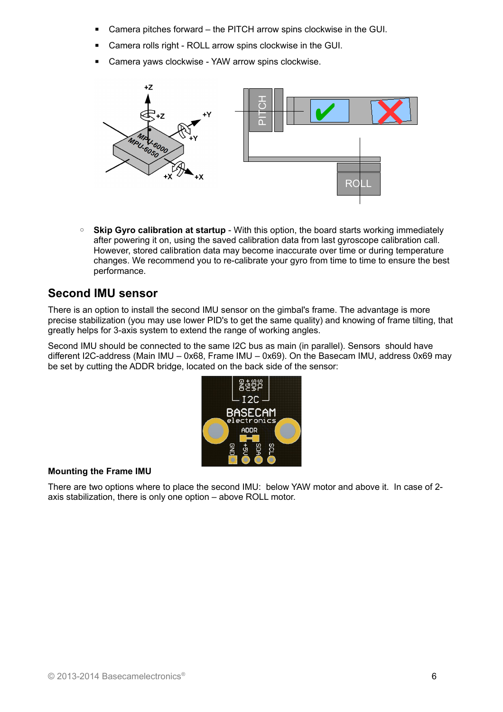- Camera pitches forward the PITCH arrow spins clockwise in the GUI.
- Camera rolls right ROLL arrow spins clockwise in the GUI.
- Camera yaws clockwise YAW arrow spins clockwise.



◦ **Skip Gyro calibration at startup** - With this option, the board starts working immediately after powering it on, using the saved calibration data from last gyroscope calibration call. However, stored calibration data may become inaccurate over time or during temperature changes. We recommend you to re-calibrate your gyro from time to time to ensure the best performance.

## <span id="page-5-0"></span>**Second IMU sensor**

There is an option to install the second IMU sensor on the gimbal's frame. The advantage is more precise stabilization (you may use lower PID's to get the same quality) and knowing of frame tilting, that greatly helps for 3-axis system to extend the range of working angles.

Second IMU should be connected to the same I2C bus as main (in parallel). Sensors should have different I2C-address (Main IMU – 0x68, Frame IMU – 0x69). On the Basecam IMU, address 0x69 may be set by cutting the ADDR bridge, located on the back side of the sensor:



#### **Mounting the Frame IMU**

There are two options where to place the second IMU: below YAW motor and above it. In case of 2 axis stabilization, there is only one option – above ROLL motor.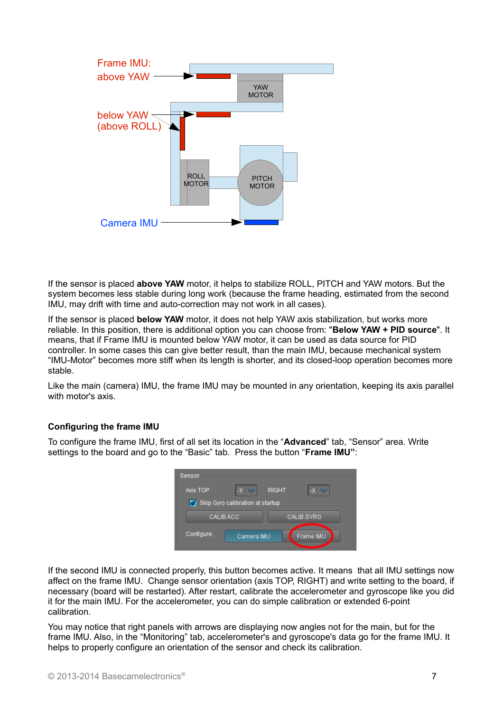

If the sensor is placed **above YAW** motor, it helps to stabilize ROLL, PITCH and YAW motors. But the system becomes less stable during long work (because the frame heading, estimated from the second IMU, may drift with time and auto-correction may not work in all cases).

If the sensor is placed **below YAW** motor, it does not help YAW axis stabilization, but works more reliable. In this position, there is additional option you can choose from: "**Below YAW + PID source**". It means, that if Frame IMU is mounted below YAW motor, it can be used as data source for PID controller. In some cases this can give better result, than the main IMU, because mechanical system "IMU-Motor" becomes more stiff when its length is shorter, and its closed-loop operation becomes more stable.

Like the main (camera) IMU, the frame IMU may be mounted in any orientation, keeping its axis parallel with motor's axis.

#### **Configuring the frame IMU**

To configure the frame IMU, first of all set its location in the "**Advanced**" tab, "Sensor" area. Write settings to the board and go to the "Basic" tab. Press the button "**Frame IMU"**:



If the second IMU is connected properly, this button becomes active. It means that all IMU settings now affect on the frame IMU. Change sensor orientation (axis TOP, RIGHT) and write setting to the board, if necessary (board will be restarted). After restart, calibrate the accelerometer and gyroscope like you did it for the main IMU. For the accelerometer, you can do simple calibration or extended 6-point calibration.

You may notice that right panels with arrows are displaying now angles not for the main, but for the frame IMU. Also, in the "Monitoring" tab, accelerometer's and gyroscope's data go for the frame IMU. It helps to properly configure an orientation of the sensor and check its calibration.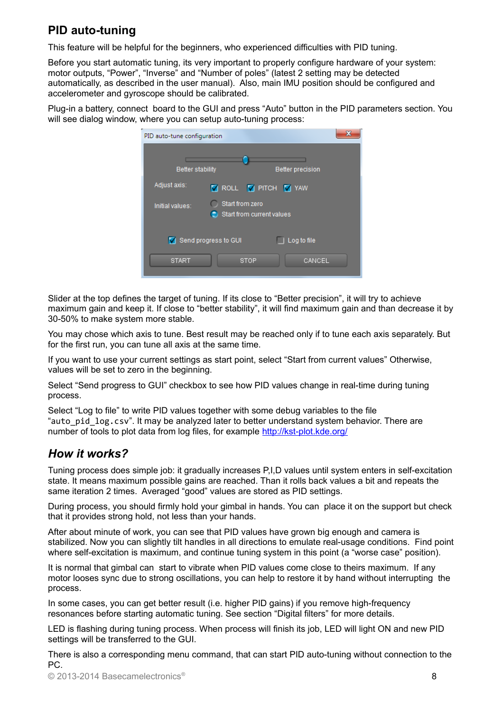## **PID auto-tuning**

This feature will be helpful for the beginners, who experienced difficulties with PID tuning.

Before you start automatic tuning, its very important to properly configure hardware of your system: motor outputs, "Power", "Inverse" and "Number of poles" (latest 2 setting may be detected automatically, as described in the user manual). Also, main IMU position should be configured and accelerometer and gyroscope should be calibrated.

Plug-in a battery, connect board to the GUI and press "Auto" button in the PID parameters section. You will see dialog window, where you can setup auto-tuning process:

| PID auto-tune configuration | x                                            |
|-----------------------------|----------------------------------------------|
| <b>Better stability</b>     | <b>Better precision</b>                      |
| Adjust axis:                | <b>V</b> ROLL <b>V</b> PITCH <b>V</b> YAW    |
| Initial values:             | Start from zero<br>Start from current values |
|                             | Send progress to GUI<br>Log to file          |
| <b>START</b>                | CANCEL<br><b>STOP</b>                        |

Slider at the top defines the target of tuning. If its close to "Better precision", it will try to achieve maximum gain and keep it. If close to "better stability", it will find maximum gain and than decrease it by 30-50% to make system more stable.

You may chose which axis to tune. Best result may be reached only if to tune each axis separately. But for the first run, you can tune all axis at the same time.

If you want to use your current settings as start point, select "Start from current values" Otherwise, values will be set to zero in the beginning.

Select "Send progress to GUI" checkbox to see how PID values change in real-time during tuning process.

Select "Log to file" to write PID values together with some debug variables to the file "auto pid log.csv". It may be analyzed later to better understand system behavior. There are number of tools to plot data from log files, for example http://kst-plot.kde.org/

### *How it works?*

Tuning process does simple job: it gradually increases P,I,D values until system enters in self-excitation state. It means maximum possible gains are reached. Than it rolls back values a bit and repeats the same iteration 2 times. Averaged "good" values are stored as PID settings.

During process, you should firmly hold your gimbal in hands. You can place it on the support but check that it provides strong hold, not less than your hands.

After about minute of work, you can see that PID values have grown big enough and camera is stabilized. Now you can slightly tilt handles in all directions to emulate real-usage conditions. Find point where self-excitation is maximum, and continue tuning system in this point (a "worse case" position).

It is normal that gimbal can start to vibrate when PID values come close to theirs maximum. If any motor looses sync due to strong oscillations, you can help to restore it by hand without interrupting the process.

In some cases, you can get better result (i.e. higher PID gains) if you remove high-frequency resonances before starting automatic tuning. See section "Digital filters" for more details.

LED is flashing during tuning process. When process will finish its job, LED will light ON and new PID settings will be transferred to the GUI.

There is also a corresponding menu command, that can start PID auto-tuning without connection to the PC.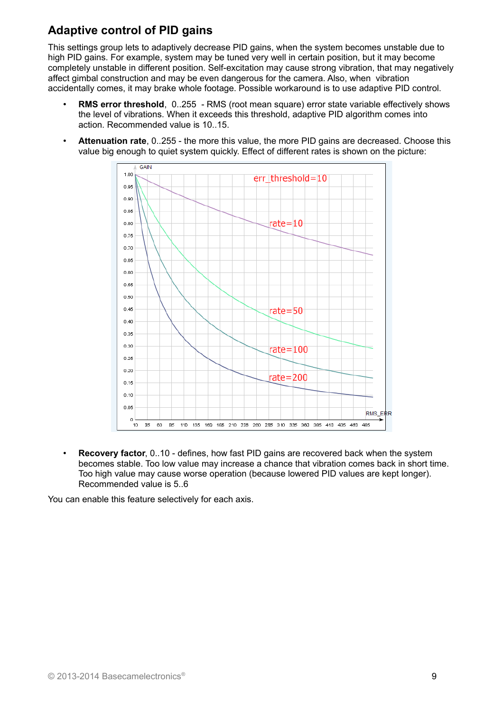## **Adaptive control of PID gains**

This settings group lets to adaptively decrease PID gains, when the system becomes unstable due to high PID gains. For example, system may be tuned very well in certain position, but it may become completely unstable in different position. Self-excitation may cause strong vibration, that may negatively affect gimbal construction and may be even dangerous for the camera. Also, when vibration accidentally comes, it may brake whole footage. Possible workaround is to use adaptive PID control.

- **RMS error threshold**, 0..255 RMS (root mean square) error state variable effectively shows the level of vibrations. When it exceeds this threshold, adaptive PID algorithm comes into action. Recommended value is 10..15.
- **Attenuation rate**, 0..255 the more this value, the more PID gains are decreased. Choose this value big enough to quiet system quickly. Effect of different rates is shown on the picture:



• **Recovery factor**, 0..10 - defines, how fast PID gains are recovered back when the system becomes stable. Too low value may increase a chance that vibration comes back in short time. Too high value may cause worse operation (because lowered PID values are kept longer). Recommended value is 5..6

You can enable this feature selectively for each axis.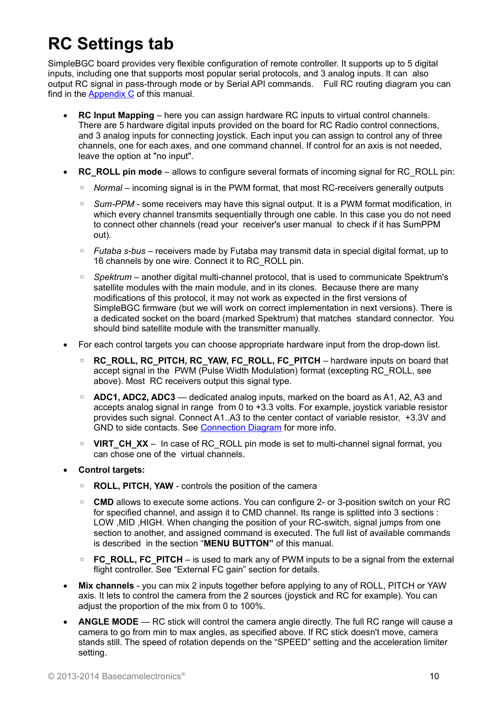# **RC Settings tab**

SimpleBGC board provides very flexible configuration of remote controller. It supports up to 5 digital inputs, including one that supports most popular serial protocols, and 3 analog inputs. It can also output RC signal in pass-through mode or by Serial API commands. Full RC routing diagram you can find in the **Appendix C** of this manual.

- **RC Input Mapping**  here you can assign hardware RC inputs to virtual control channels. There are 5 hardware digital inputs provided on the board for RC Radio control connections, and 3 analog inputs for connecting joystick. Each input you can assign to control any of three channels, one for each axes, and one command channel. If control for an axis is not needed, leave the option at "no input".
- **RC\_ROLL pin mode** allows to configure several formats of incoming signal for RC\_ROLL pin:
	- *Normal* incoming signal is in the PWM format, that most RC-receivers generally outputs
	- Sum-PPM some receivers may have this signal output. It is a PWM format modification, in which every channel transmits sequentially through one cable. In this case you do not need to connect other channels (read your receiver's user manual to check if it has SumPPM out).
	- *Futaba s-bus* receivers made by Futaba may transmit data in special digital format, up to 16 channels by one wire. Connect it to RC\_ROLL pin.
	- *Spektrum* another digital multi-channel protocol, that is used to communicate Spektrum's satellite modules with the main module, and in its clones. Because there are many modifications of this protocol, it may not work as expected in the first versions of SimpleBGC firmware (but we will work on correct implementation in next versions). There is a dedicated socket on the board (marked Spektrum) that matches standard connector. You should bind satellite module with the transmitter manually.
- For each control targets you can choose appropriate hardware input from the drop-down list.
	- **RC\_ROLL, RC\_PITCH, RC\_YAW, FC\_ROLL, FC\_PITCH** hardware inputs on board that accept signal in the PWM (Pulse Width Modulation) format (excepting RC\_ROLL, see above). Most RC receivers output this signal type.
	- **ADC1, ADC2, ADC3** dedicated analog inputs, marked on the board as A1, A2, A3 and accepts analog signal in range from 0 to +3.3 volts. For example, joystick variable resistor provides such signal. Connect A1..A3 to the center contact of variable resistor, +3.3V and GND to side contacts. See [Connection Diagram](#page-26-0) for more info.
	- **VIRT\_CH\_XX** In case of RC\_ROLL pin mode is set to multi-channel signal format, you can chose one of the virtual channels.

#### **Control targets:**

- **ROLL, PITCH, YAW** controls the position of the camera
- **CMD** allows to execute some actions. You can configure 2- or 3-position switch on your RC for specified channel, and assign it to CMD channel. Its range is splitted into 3 sections : LOW ,MID ,HIGH. When changing the position of your RC-switch, signal jumps from one section to another, and assigned command is executed. The full list of available commands is described in the section "**MENU BUTTON"** of this manual.
- **FC\_ROLL, FC\_PITCH** is used to mark any of PWM inputs to be a signal from the external flight controller. See "External FC gain" section for details.
- **Mix channels** you can mix 2 inputs together before applying to any of ROLL, PITCH or YAW axis. It lets to control the camera from the 2 sources (joystick and RC for example). You can adjust the proportion of the mix from 0 to 100%.
- **ANGLE MODE**  RC stick will control the camera angle directly. The full RC range will cause a camera to go from min to max angles, as specified above. If RC stick doesn't move, camera stands still. The speed of rotation depends on the "SPEED" setting and the acceleration limiter setting.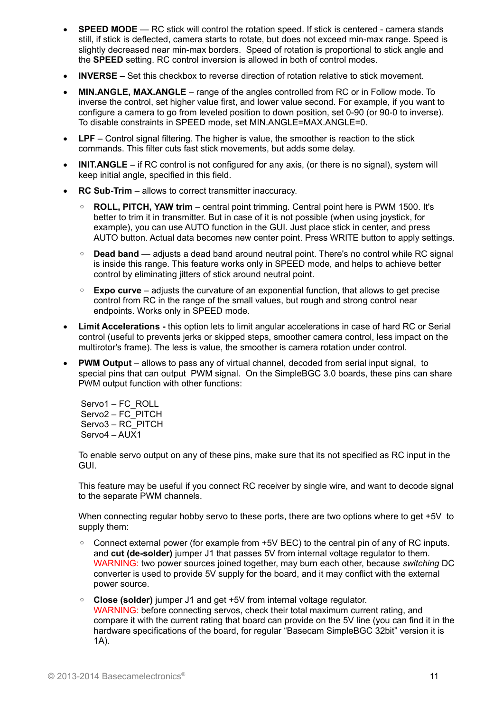- **SPEED MODE** RC stick will control the rotation speed. If stick is centered camera stands still, if stick is deflected, camera starts to rotate, but does not exceed min-max range. Speed is slightly decreased near min-max borders. Speed of rotation is proportional to stick angle and the **SPEED** setting. RC control inversion is allowed in both of control modes.
- **INVERSE** Set this checkbox to reverse direction of rotation relative to stick movement.
- **MIN.ANGLE, MAX.ANGLE** range of the angles controlled from RC or in Follow mode. To inverse the control, set higher value first, and lower value second. For example, if you want to configure a camera to go from leveled position to down position, set 0-90 (or 90-0 to inverse). To disable constraints in SPEED mode, set MIN.ANGLE=MAX.ANGLE=0.
- **LPF** Control signal filtering. The higher is value, the smoother is reaction to the stick commands. This filter cuts fast stick movements, but adds some delay.
- **INIT.ANGLE** if RC control is not configured for any axis, (or there is no signal), system will keep initial angle, specified in this field.
- **RC Sub-Trim** allows to correct transmitter inaccuracy.
	- **ROLL, PITCH, YAW trim** central point trimming. Central point here is PWM 1500. It's better to trim it in transmitter. But in case of it is not possible (when using joystick, for example), you can use AUTO function in the GUI. Just place stick in center, and press AUTO button. Actual data becomes new center point. Press WRITE button to apply settings.
	- **Dead band** adjusts a dead band around neutral point. There's no control while RC signal is inside this range. This feature works only in SPEED mode, and helps to achieve better control by eliminating jitters of stick around neutral point.
	- **Expo curve** adjusts the curvature of an exponential function, that allows to get precise control from RC in the range of the small values, but rough and strong control near endpoints. Works only in SPEED mode.
- **Limit Accelerations** this option lets to limit angular accelerations in case of hard RC or Serial control (useful to prevents jerks or skipped steps, smoother camera control, less impact on the multirotor's frame). The less is value, the smoother is camera rotation under control.
- **PWM Output** allows to pass any of virtual channel, decoded from serial input signal, to special pins that can output PWM signal. On the SimpleBGC 3.0 boards, these pins can share PWM output function with other functions:

 Servo1 – FC\_ROLL Servo2 – FC\_PITCH Servo3 - RC\_PITCH Servo4 – AUX1

To enable servo output on any of these pins, make sure that its not specified as RC input in the GUI.

This feature may be useful if you connect RC receiver by single wire, and want to decode signal to the separate PWM channels.

When connecting regular hobby servo to these ports, there are two options where to get +5V to supply them:

- Connect external power (for example from +5V BEC) to the central pin of any of RC inputs. and **cut (de-solder)** jumper J1 that passes 5V from internal voltage regulator to them. WARNING: two power sources joined together, may burn each other, because *switching* DC converter is used to provide 5V supply for the board, and it may conflict with the external power source.
- **Close (solder)** jumper J1 and get +5V from internal voltage regulator. WARNING: before connecting servos, check their total maximum current rating, and compare it with the current rating that board can provide on the 5V line (you can find it in the hardware specifications of the board, for regular "Basecam SimpleBGC 32bit" version it is 1A).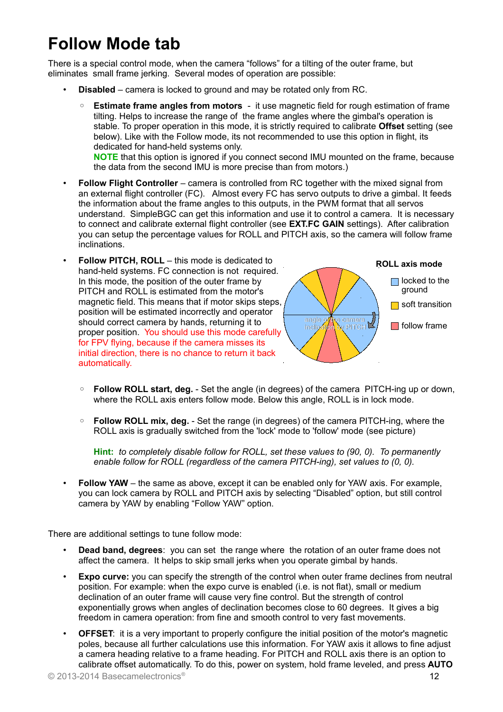## **Follow Mode tab**

There is a special control mode, when the camera "follows" for a tilting of the outer frame, but eliminates small frame jerking. Several modes of operation are possible:

- **Disabled** camera is locked to ground and may be rotated only from RC.
	- **Estimate frame angles from motors** it use magnetic field for rough estimation of frame tilting. Helps to increase the range of the frame angles where the gimbal's operation is stable. To proper operation in this mode, it is strictly required to calibrate Offset setting (see below). Like with the Follow mode, its not recommended to use this option in flight, its dedicated for hand-held systems only.

**NOTE** that this option is ignored if you connect second IMU mounted on the frame, because the data from the second IMU is more precise than from motors.)

- **Follow Flight Controller** camera is controlled from RC together with the mixed signal from an external flight controller (FC). Almost every FC has servo outputs to drive a gimbal. It feeds the information about the frame angles to this outputs, in the PWM format that all servos understand. SimpleBGC can get this information and use it to control a camera. It is necessary to connect and calibrate external flight controller (see **EXT.FC GAIN** settings). After calibration you can setup the percentage values for ROLL and PITCH axis, so the camera will follow frame inclinations.
- **Follow PITCH, ROLL** this mode is dedicated to hand-held systems. FC connection is not required. In this mode, the position of the outer frame by PITCH and ROLL is estimated from the motor's magnetic field. This means that if motor skips steps, position will be estimated incorrectly and operator should correct camera by hands, returning it to proper position. You should use this mode carefully for FPV flying, because if the camera misses its initial direction, there is no chance to return it back automatically.



- **Follow ROLL start, deg.** Set the angle (in degrees) of the camera PITCH-ing up or down, where the ROLL axis enters follow mode. Below this angle, ROLL is in lock mode.
- **Follow ROLL mix, deg.** Set the range (in degrees) of the camera PITCH-ing, where the ROLL axis is gradually switched from the 'lock' mode to 'follow' mode (see picture)

**Hint:** *to completely disable follow for ROLL, set these values to (90, 0). To permanently enable follow for ROLL (regardless of the camera PITCH-ing), set values to (0, 0).*

• **Follow YAW** – the same as above, except it can be enabled only for YAW axis. For example, you can lock camera by ROLL and PITCH axis by selecting "Disabled" option, but still control camera by YAW by enabling "Follow YAW" option.

There are additional settings to tune follow mode:

- **Dead band, degrees**: you can set the range where the rotation of an outer frame does not affect the camera. It helps to skip small jerks when you operate gimbal by hands.
- **Expo curve:** you can specify the strength of the control when outer frame declines from neutral position. For example: when the expo curve is enabled (i.e. is not flat), small or medium declination of an outer frame will cause very fine control. But the strength of control exponentially grows when angles of declination becomes close to 60 degrees. It gives a big freedom in camera operation: from fine and smooth control to very fast movements.
- **OFFSET**: it is a very important to properly configure the initial position of the motor's magnetic poles, because all further calculations use this information. For YAW axis it allows to fine adjust a camera heading relative to a frame heading. For PITCH and ROLL axis there is an option to calibrate offset automatically. To do this, power on system, hold frame leveled, and press **AUTO**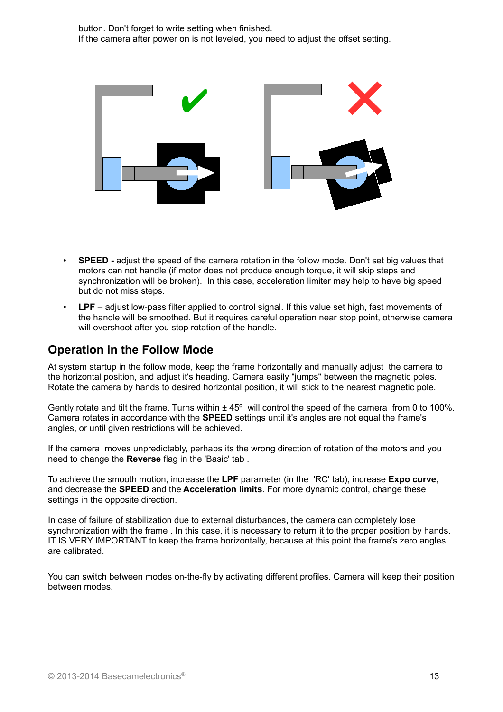

- **SPEED** adjust the speed of the camera rotation in the follow mode. Don't set big values that motors can not handle (if motor does not produce enough torque, it will skip steps and synchronization will be broken). In this case, acceleration limiter may help to have big speed but do not miss steps.
- **LPF** adjust low-pass filter applied to control signal. If this value set high, fast movements of the handle will be smoothed. But it requires careful operation near stop point, otherwise camera will overshoot after you stop rotation of the handle.

## **Operation in the Follow Mode**

At system startup in the follow mode, keep the frame horizontally and manually adjust the camera to the horizontal position, and adjust it's heading. Camera easily "jumps" between the magnetic poles. Rotate the camera by hands to desired horizontal position, it will stick to the nearest magnetic pole.

Gently rotate and tilt the frame. Turns within  $\pm 45^{\circ}$  will control the speed of the camera from 0 to 100%. Camera rotates in accordance with the **SPEED** settings until it's angles are not equal the frame's angles, or until given restrictions will be achieved.

If the camera moves unpredictably, perhaps its the wrong direction of rotation of the motors and you need to change the **Reverse** flag in the 'Basic' tab .

To achieve the smooth motion, increase the **LPF** parameter (in the 'RC' tab), increase **Expo curve**, and decrease the **SPEED** and the **Acceleration limits**. For more dynamic control, change these settings in the opposite direction.

In case of failure of stabilization due to external disturbances, the camera can completely lose synchronization with the frame . In this case, it is necessary to return it to the proper position by hands. IT IS VERY IMPORTANT to keep the frame horizontally, because at this point the frame's zero angles are calibrated.

You can switch between modes on-the-fly by activating different profiles. Camera will keep their position between modes.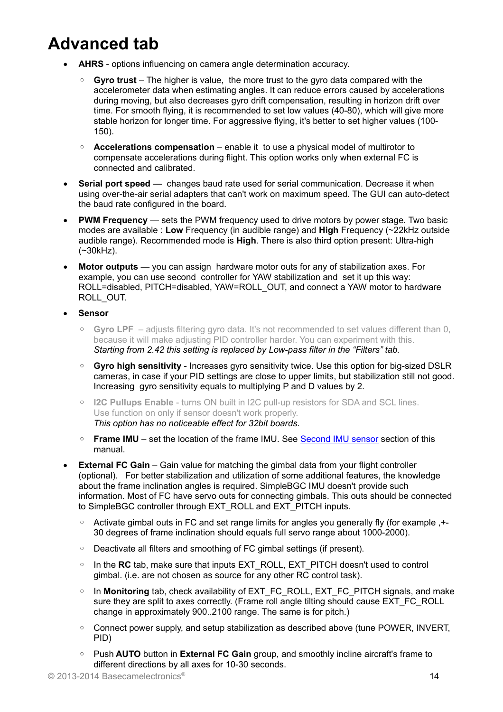# **Advanced tab**

- **AHRS** options influencing on camera angle determination accuracy.
	- **Gyro trust** The higher is value, the more trust to the gyro data compared with the accelerometer data when estimating angles. It can reduce errors caused by accelerations during moving, but also decreases gyro drift compensation, resulting in horizon drift over time. For smooth flying, it is recommended to set low values (40-80), which will give more stable horizon for longer time. For aggressive flying, it's better to set higher values (100- 150).
	- **Accelerations compensation** enable it to use a physical model of multirotor to compensate accelerations during flight. This option works only when external FC is connected and calibrated.
- **Serial port speed** changes baud rate used for serial communication. Decrease it when using over-the-air serial adapters that can't work on maximum speed. The GUI can auto-detect the baud rate configured in the board.
- **PWM Frequency** sets the PWM frequency used to drive motors by power stage. Two basic modes are available : **Low** Frequency (in audible range) and **High** Frequency (~22kHz outside audible range). Recommended mode is **High**. There is also third option present: Ultra-high (~30kHz).
- **Motor outputs** you can assign hardware motor outs for any of stabilization axes. For example, you can use second controller for YAW stabilization and set it up this way: ROLL=disabled, PITCH=disabled, YAW=ROLL\_OUT, and connect a YAW motor to hardware ROLL\_OUT.
- **Sensor**
	- **Gyro LPF**  adjusts filtering gyro data. It's not recommended to set values different than 0, because it will make adjusting PID controller harder. You can experiment with this. *Starting from 2.42 this setting is replaced by Low-pass filter in the "Filters" tab.*
	- **Gyro high sensitivity** Increases gyro sensitivity twice. Use this option for big-sized DSLR cameras, in case if your PID settings are close to upper limits, but stabilization still not good. Increasing gyro sensitivity equals to multiplying P and D values by 2.
	- **I2C Pullups Enable** turns ON built in I2C pull-up resistors for SDA and SCL lines. Use function on only if sensor doesn't work properly. *This option has no noticeable effect for 32bit boards.*
	- **Frame IMU** set the location of the frame IMU. See [Second IMU sensor](#page-5-0) section of this manual.
- **External FC Gain** Gain value for matching the gimbal data from your flight controller (optional). For better stabilization and utilization of some additional features, the knowledge about the frame inclination angles is required. SimpleBGC IMU doesn't provide such information. Most of FC have servo outs for connecting gimbals. This outs should be connected to SimpleBGC controller through EXT\_ROLL and EXT\_PITCH inputs.
	- Activate gimbal outs in FC and set range limits for angles you generally fly (for example ,+- 30 degrees of frame inclination should equals full servo range about 1000-2000).
	- Deactivate all filters and smoothing of FC gimbal settings (if present).
	- In the RC tab, make sure that inputs EXT\_ROLL, EXT\_PITCH doesn't used to control gimbal. (i.e. are not chosen as source for any other RC control task).
	- In **Monitoring** tab, check availability of EXT\_FC\_ROLL, EXT\_FC\_PITCH signals, and make sure they are split to axes correctly. (Frame roll angle tilting should cause EXT\_FC\_ROLL change in approximately 900..2100 range. The same is for pitch.)
	- Connect power supply, and setup stabilization as described above (tune POWER, INVERT, PID)
	- Push **AUTO** button in **External FC Gain** group, and smoothly incline aircraft's frame to different directions by all axes for 10-30 seconds.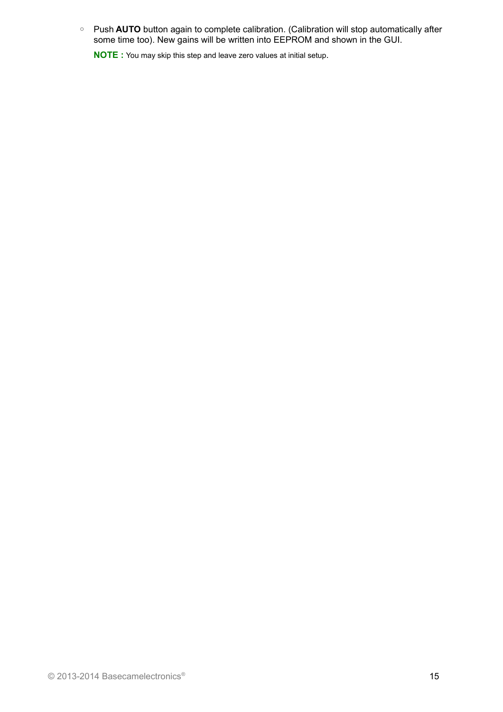◦ Push **AUTO** button again to complete calibration. (Calibration will stop automatically after some time too). New gains will be written into EEPROM and shown in the GUI.

**NOTE :** You may skip this step and leave zero values at initial setup.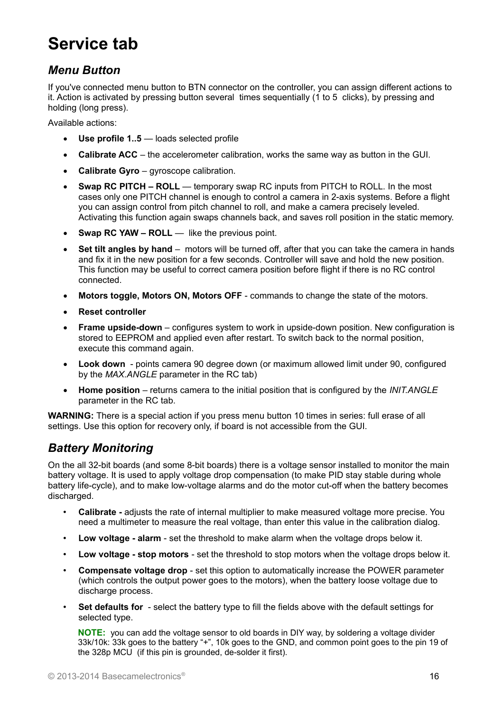## **Service tab**

### *Menu Button*

If you've connected menu button to BTN connector on the controller, you can assign different actions to it. Action is activated by pressing button several times sequentially (1 to 5 clicks), by pressing and holding (long press).

Available actions:

- **Use profile 1..5** loads selected profile
- **Calibrate ACC** the accelerometer calibration, works the same way as button in the GUI.
- **Calibrate Gyro** gyroscope calibration.
- **Swap RC PITCH ROLL** temporary swap RC inputs from PITCH to ROLL. In the most cases only one PITCH channel is enough to control a camera in 2-axis systems. Before a flight you can assign control from pitch channel to roll, and make a camera precisely leveled. Activating this function again swaps channels back, and saves roll position in the static memory.
- Swap RC YAW ROLL like the previous point.
- **Set tilt angles by hand** motors will be turned off, after that you can take the camera in hands and fix it in the new position for a few seconds. Controller will save and hold the new position. This function may be useful to correct camera position before flight if there is no RC control connected.
- **Motors toggle, Motors ON, Motors OFF** commands to change the state of the motors.
- **Reset controller**
- **Frame upside-down**  configures system to work in upside-down position. New configuration is stored to EEPROM and applied even after restart. To switch back to the normal position, execute this command again.
- **Look down** points camera 90 degree down (or maximum allowed limit under 90, configured by the *MAX.ANGLE* parameter in the RC tab)
- **Home position** returns camera to the initial position that is configured by the *INIT.ANGLE* parameter in the RC tab.

**WARNING:** There is a special action if you press menu button 10 times in series: full erase of all settings. Use this option for recovery only, if board is not accessible from the GUI.

## *Battery Monitoring*

On the all 32-bit boards (and some 8-bit boards) there is a voltage sensor installed to monitor the main battery voltage. It is used to apply voltage drop compensation (to make PID stay stable during whole battery life-cycle), and to make low-voltage alarms and do the motor cut-off when the battery becomes discharged.

- **Calibrate -** adjusts the rate of internal multiplier to make measured voltage more precise. You need a multimeter to measure the real voltage, than enter this value in the calibration dialog.
- **Low voltage alarm** set the threshold to make alarm when the voltage drops below it.
- **Low voltage stop motors**  set the threshold to stop motors when the voltage drops below it.
- **Compensate voltage drop** set this option to automatically increase the POWER parameter (which controls the output power goes to the motors), when the battery loose voltage due to discharge process.
- **Set defaults for** select the battery type to fill the fields above with the default settings for selected type.

**NOTE:** you can add the voltage sensor to old boards in DIY way, by soldering a voltage divider 33k/10k: 33k goes to the battery "+", 10k goes to the GND, and common point goes to the pin 19 of the 328p MCU (if this pin is grounded, de-solder it first).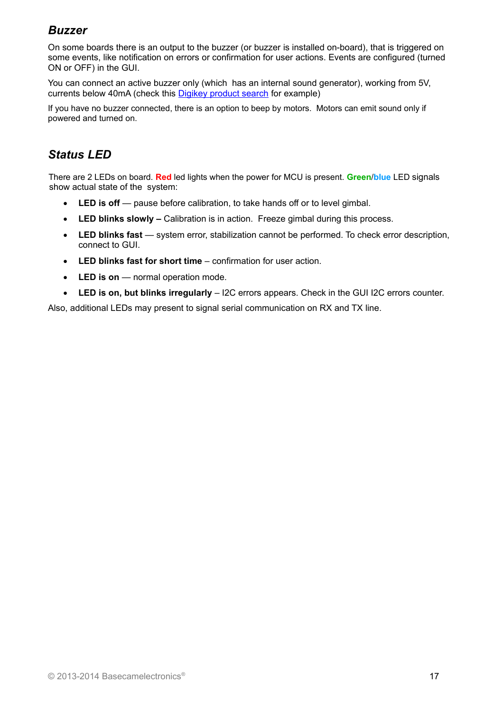## *Buzzer*

On some boards there is an output to the buzzer (or buzzer is installed on-board), that is triggered on some events, like notification on errors or confirmation for user actions. Events are configured (turned ON or OFF) in the GUI.

You can connect an active buzzer only (which has an internal sound generator), working from 5V, currents below 40mA (check this [Digikey product search](http://www.digikey.com/product-search/en?pv14=930&pv14=124&pv14=123&FV=fff4000b,fff80047,38003f,38007b,38007c,38007e,3803a2,7040013,7040015,704001b,7040024,704002a,7040037,704003b,704003e,7040045,704005a,704005d,7040068,704006a,704007e,7040080,7040088,704008a,704008b,70400f3,70404b5,7680028,15d80006&mnonly=0&newproducts=0&ColumnSort=0&page=1&quantity=0&ptm=0&fid=0&pageSize=25) for example)

If you have no buzzer connected, there is an option to beep by motors. Motors can emit sound only if powered and turned on.

## *Status LED*

There are 2 LEDs on board. **Red** led lights when the power for MCU is present. **Green**/**blue** LED signals show actual state of the system:

- LED is off pause before calibration, to take hands off or to level gimbal.
- **LED blinks slowly –** Calibration is in action. Freeze gimbal during this process.
- LED blinks fast system error, stabilization cannot be performed. To check error description, connect to GUI.
- **LED blinks fast for short time** confirmation for user action.
- **LED is on** normal operation mode.
- **LED is on, but blinks irregularly** I2C errors appears. Check in the GUI I2C errors counter.

Also, additional LEDs may present to signal serial communication on RX and TX line.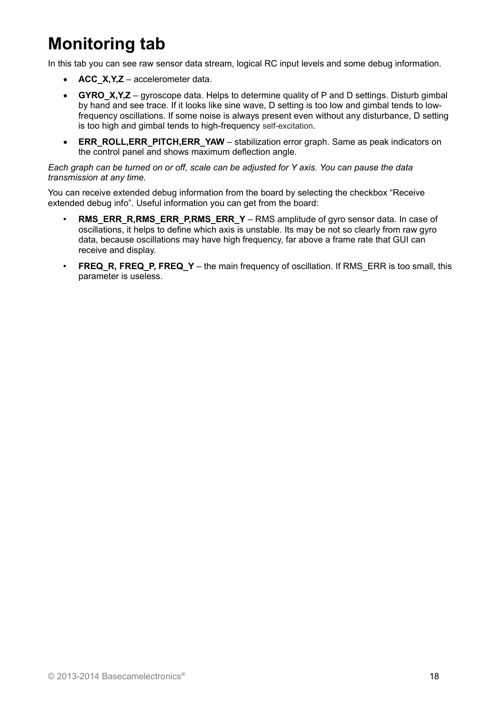# **Monitoring tab**

In this tab you can see raw sensor data stream, logical RC input levels and some debug information.

- **ACC\_X,Y,Z** accelerometer data.
- **GYRO X,Y,Z** gyroscope data. Helps to determine quality of P and D settings. Disturb gimbal by hand and see trace. If it looks like sine wave, D setting is too low and gimbal tends to lowfrequency oscillations. If some noise is always present even without any disturbance, D setting is too high and gimbal tends to high-frequency self-excitation.
- **ERR\_ROLL,ERR\_PITCH,ERR\_YAW** stabilization error graph. Same as peak indicators on the control panel and shows maximum deflection angle.

#### *Each graph can be turned on or off, scale can be adjusted for Y axis. You can pause the data transmission at any time.*

You can receive extended debug information from the board by selecting the checkbox "Receive extended debug info". Useful information you can get from the board:

- **RMS\_ERR\_R,RMS\_ERR\_P,RMS\_ERR\_Y** RMS amplitude of gyro sensor data. In case of oscillations, it helps to define which axis is unstable. Its may be not so clearly from raw gyro data, because oscillations may have high frequency, far above a frame rate that GUI can receive and display.
- **FREQ\_R, FREQ\_P, FREQ\_Y** the main frequency of oscillation. If RMS\_ERR is too small, this parameter is useless.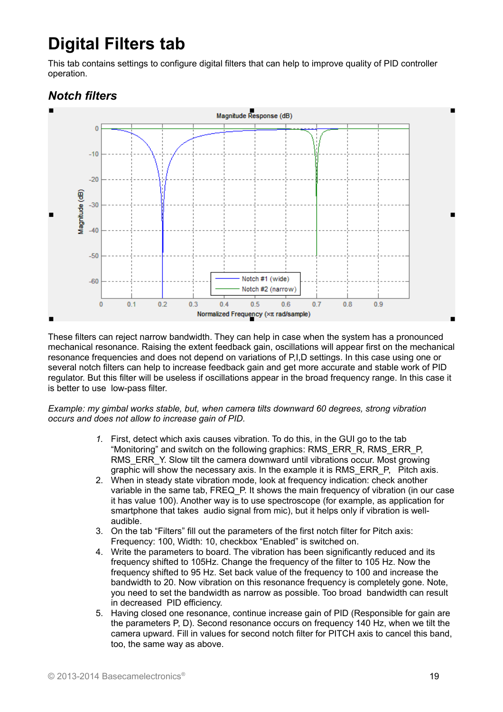# **Digital Filters tab**

This tab contains settings to configure digital filters that can help to improve quality of PID controller operation.

## *Notch filters*



These filters can reject narrow bandwidth. They can help in case when the system has a pronounced mechanical resonance. Raising the extent feedback gain, oscillations will appear first on the mechanical resonance frequencies and does not depend on variations of P,I,D settings. In this case using one or several notch filters can help to increase feedback gain and get more accurate and stable work of PID regulator. But this filter will be useless if oscillations appear in the broad frequency range. In this case it is better to use low-pass filter.

#### *Example: my gimbal works stable, but, when camera tilts downward 60 degrees, strong vibration occurs and does not allow to increase gain of PID.*

- *1.* First, detect which axis causes vibration. To do this, in the GUI go to the tab "Monitoring" and switch on the following graphics: RMS\_ERR\_R, RMS\_ERR\_P, RMS\_ERR\_Y. Slow tilt the camera downward until vibrations occur. Most growing graphic will show the necessary axis. In the example it is RMS ERR P, Pitch axis.
- 2. When in steady state vibration mode, look at frequency indication: check another variable in the same tab, FREQ\_P. It shows the main frequency of vibration (in our case it has value 100). Another way is to use spectroscope (for example, as application for smartphone that takes audio signal from mic), but it helps only if vibration is wellaudible.
- 3. On the tab "Filters" fill out the parameters of the first notch filter for Pitch axis: Frequency: 100, Width: 10, checkbox "Enabled" is switched on.
- 4. Write the parameters to board. The vibration has been significantly reduced and its frequency shifted to 105Hz. Change the frequency of the filter to 105 Hz. Now the frequency shifted to 95 Hz. Set back value of the frequency to 100 and increase the bandwidth to 20. Now vibration on this resonance frequency is completely gone. Note, you need to set the bandwidth as narrow as possible. Too broad bandwidth can result in decreased PID efficiency.
- 5. Having closed one resonance, continue increase gain of PID (Responsible for gain are the parameters P, D). Second resonance occurs on frequency 140 Hz, when we tilt the camera upward. Fill in values for second notch filter for PITCH axis to cancel this band, too, the same way as above.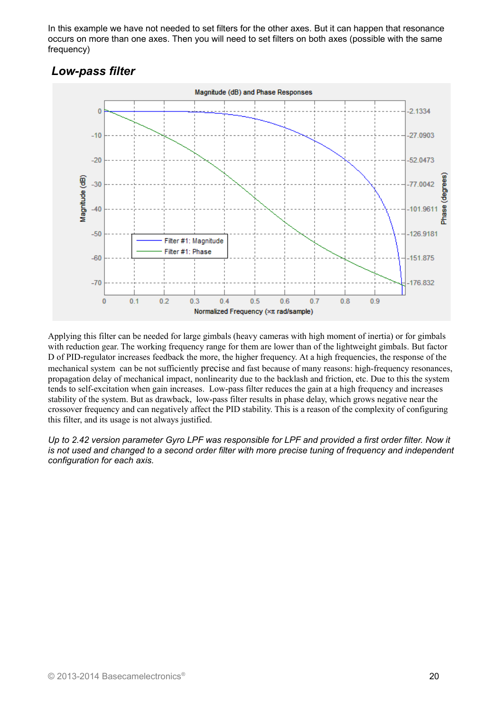In this example we have not needed to set filters for the other axes. But it can happen that resonance occurs on more than one axes. Then you will need to set filters on both axes (possible with the same frequency)

## *Low-pass filter*



Applying this filter can be needed for large gimbals (heavy cameras with high moment of inertia) or for gimbals with reduction gear. The working frequency range for them are lower than of the lightweight gimbals. But factor D of PID-regulator increases feedback the more, the higher frequency. At a high frequencies, the response of the mechanical system can be not sufficiently precise and fast because of many reasons: high-frequency resonances, propagation delay of mechanical impact, nonlinearity due to the backlash and friction, etc. Due to this the system tends to self-excitation when gain increases. Low-pass filter reduces the gain at a high frequency and increases stability of the system. But as drawback, low-pass filter results in phase delay, which grows negative near the crossover frequency and can negatively affect the PID stability. This is a reason of the complexity of configuring this filter, and its usage is not always justified.

*Up to 2.42 version parameter Gyro LPF was responsible for LPF and provided a first order filter. Now it is not used and changed to a second order filter with more precise tuning of frequency and independent configuration for each axis.*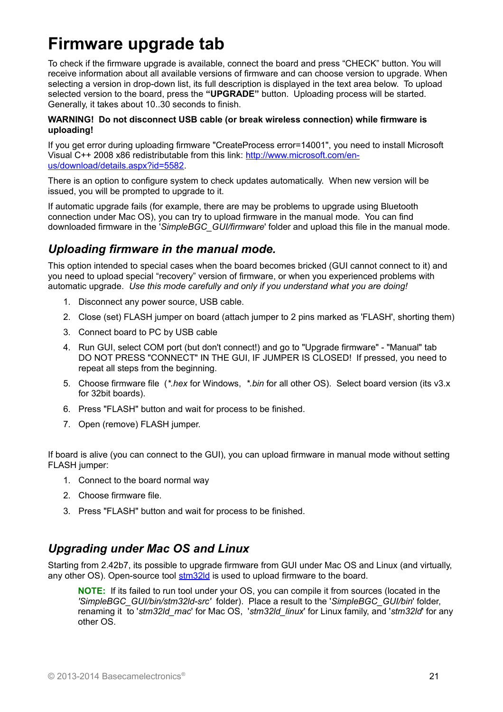## **Firmware upgrade tab**

To check if the firmware upgrade is available, connect the board and press "CHECK" button. You will receive information about all available versions of firmware and can choose version to upgrade. When selecting a version in drop-down list, its full description is displayed in the text area below. To upload selected version to the board, press the **"UPGRADE"** button. Uploading process will be started. Generally, it takes about 10..30 seconds to finish.

#### **WARNING! Do not disconnect USB cable (or break wireless connection) while firmware is uploading!**

If you get error during uploading firmware "CreateProcess error=14001", you need to install Microsoft Visual C++ 2008 x86 redistributable from this link: [http://www.microsoft.com/en](http://www.microsoft.com/en-us/download/details.aspx?id=5582)[us/download/details.aspx?id=5582.](http://www.microsoft.com/en-us/download/details.aspx?id=5582)

There is an option to configure system to check updates automatically. When new version will be issued, you will be prompted to upgrade to it.

If automatic upgrade fails (for example, there are may be problems to upgrade using Bluetooth connection under Mac OS), you can try to upload firmware in the manual mode. You can find downloaded firmware in the '*SimpleBGC\_GUI/firmware*' folder and upload this file in the manual mode.

## *Uploading firmware in the manual mode.*

This option intended to special cases when the board becomes bricked (GUI cannot connect to it) and you need to upload special "recovery" version of firmware, or when you experienced problems with automatic upgrade. *Use this mode carefully and only if you understand what you are doing!*

- 1. Disconnect any power source, USB cable.
- 2. Close (set) FLASH jumper on board (attach jumper to 2 pins marked as 'FLASH', shorting them)
- 3. Connect board to PC by USB cable
- 4. Run GUI, select COM port (but don't connect!) and go to "Upgrade firmware" "Manual" tab DO NOT PRESS "CONNECT" IN THE GUI, IF JUMPER IS CLOSED! If pressed, you need to repeat all steps from the beginning.
- 5. Choose firmware file (*\*.hex* for Windows, *\*.bin* for all other OS). Select board version (its v3.x for 32bit boards).
- 6. Press "FLASH" button and wait for process to be finished.
- 7. Open (remove) FLASH jumper.

If board is alive (you can connect to the GUI), you can upload firmware in manual mode without setting FLASH jumper:

- 1. Connect to the board normal way
- 2. Choose firmware file.
- 3. Press "FLASH" button and wait for process to be finished.

### *Upgrading under Mac OS and Linux*

Starting from 2.42b7, its possible to upgrade firmware from GUI under Mac OS and Linux (and virtually, any other OS). Open-source tool [stm32ld](https://github.com/jsnyder/stm32ld) is used to upload firmware to the board.

**NOTE:** If its failed to run tool under your OS, you can compile it from sources (located in the *'SimpleBGC\_GUI/bin/stm32ld-src'* folder). Place a result to the '*SimpleBGC\_GUI/bin*' folder, renaming it to '*stm32ld\_mac*' for Mac OS, '*stm32ld\_linux*' for Linux family, and '*stm32ld*' for any other OS.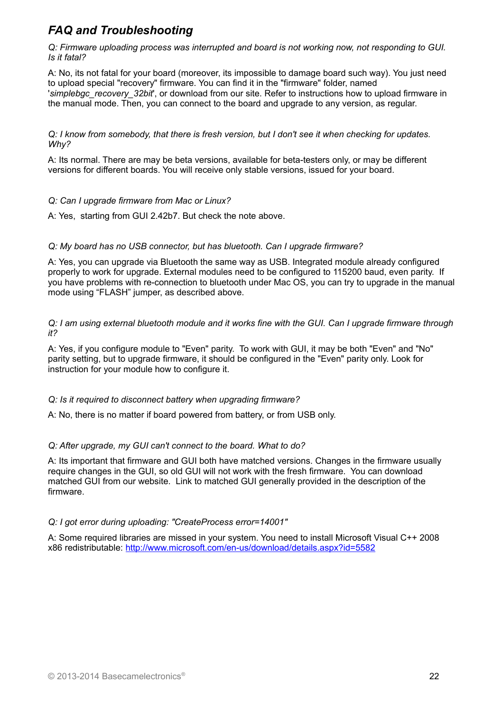## *FAQ and Troubleshooting*

*Q: Firmware uploading process was interrupted and board is not working now, not responding to GUI. Is it fatal?* 

A: No, its not fatal for your board (moreover, its impossible to damage board such way). You just need to upload special "recovery" firmware. You can find it in the "firmware" folder, named '*simplebgc\_recovery\_32bit*', or download from our site. Refer to instructions how to upload firmware in the manual mode. Then, you can connect to the board and upgrade to any version, as regular.

*Q: I know from somebody, that there is fresh version, but I don't see it when checking for updates. Why?*

A: Its normal. There are may be beta versions, available for beta-testers only, or may be different versions for different boards. You will receive only stable versions, issued for your board.

#### *Q: Can I upgrade firmware from Mac or Linux?*

A: Yes, starting from GUI 2.42b7. But check the note above.

#### *Q: My board has no USB connector, but has bluetooth. Can I upgrade firmware?*

A: Yes, you can upgrade via Bluetooth the same way as USB. Integrated module already configured properly to work for upgrade. External modules need to be configured to 115200 baud, even parity. If you have problems with re-connection to bluetooth under Mac OS, you can try to upgrade in the manual mode using "FLASH" jumper, as described above.

#### *Q: I am using external bluetooth module and it works fine with the GUI. Can I upgrade firmware through it?*

A: Yes, if you configure module to "Even" parity. To work with GUI, it may be both "Even" and "No" parity setting, but to upgrade firmware, it should be configured in the "Even" parity only. Look for instruction for your module how to configure it.

#### *Q: Is it required to disconnect battery when upgrading firmware?*

A: No, there is no matter if board powered from battery, or from USB only.

#### *Q: After upgrade, my GUI can't connect to the board. What to do?*

A: Its important that firmware and GUI both have matched versions. Changes in the firmware usually require changes in the GUI, so old GUI will not work with the fresh firmware. You can download matched GUI from our website. Link to matched GUI generally provided in the description of the firmware.

#### *Q: I got error during uploading: "CreateProcess error=14001"*

A: Some required libraries are missed in your system. You need to install Microsoft Visual C++ 2008 x86 redistributable:<http://www.microsoft.com/en-us/download/details.aspx?id=5582>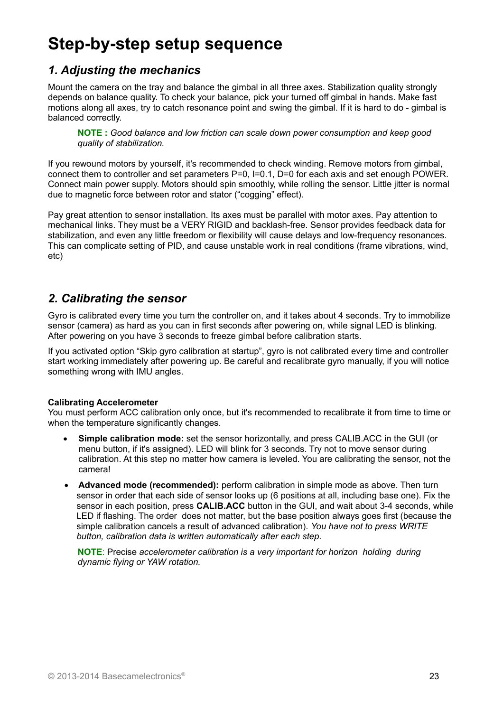# **Step-by-step setup sequence**

## *1. Adjusting the mechanics*

Mount the camera on the tray and balance the gimbal in all three axes. Stabilization quality strongly depends on balance quality. To check your balance, pick your turned off gimbal in hands. Make fast motions along all axes, try to catch resonance point and swing the gimbal. If it is hard to do - gimbal is balanced correctly.

**NOTE :** *Good balance and low friction can scale down power consumption and keep good quality of stabilization.*

If you rewound motors by yourself, it's recommended to check winding. Remove motors from gimbal, connect them to controller and set parameters P=0, I=0.1, D=0 for each axis and set enough POWER. Connect main power supply. Motors should spin smoothly, while rolling the sensor. Little jitter is normal due to magnetic force between rotor and stator ("cogging" effect).

Pay great attention to sensor installation. Its axes must be parallel with motor axes. Pay attention to mechanical links. They must be a VERY RIGID and backlash-free. Sensor provides feedback data for stabilization, and even any little freedom or flexibility will cause delays and low-frequency resonances. This can complicate setting of PID, and cause unstable work in real conditions (frame vibrations, wind, etc)

### *2. Calibrating the sensor*

Gyro is calibrated every time you turn the controller on, and it takes about 4 seconds. Try to immobilize sensor (camera) as hard as you can in first seconds after powering on, while signal LED is blinking. After powering on you have 3 seconds to freeze gimbal before calibration starts.

If you activated option "Skip gyro calibration at startup", gyro is not calibrated every time and controller start working immediately after powering up. Be careful and recalibrate gyro manually, if you will notice something wrong with IMU angles.

#### **Calibrating Accelerometer**

You must perform ACC calibration only once, but it's recommended to recalibrate it from time to time or when the temperature significantly changes.

- **Simple calibration mode:** set the sensor horizontally, and press CALIB.ACC in the GUI (or menu button, if it's assigned). LED will blink for 3 seconds. Try not to move sensor during calibration. At this step no matter how camera is leveled. You are calibrating the sensor, not the camera!
- **Advanced mode (recommended):** perform calibration in simple mode as above. Then turn sensor in order that each side of sensor looks up (6 positions at all, including base one). Fix the sensor in each position, press **CALIB.ACC** button in the GUI, and wait about 3-4 seconds, while LED if flashing. The order does not matter, but the base position always goes first (because the simple calibration cancels a result of advanced calibration). *You have not to press WRITE button, calibration data is written automatically after each step.*

**NOTE**: Precise *accelerometer calibration is a very important for horizon holding during dynamic flying or YAW rotation.*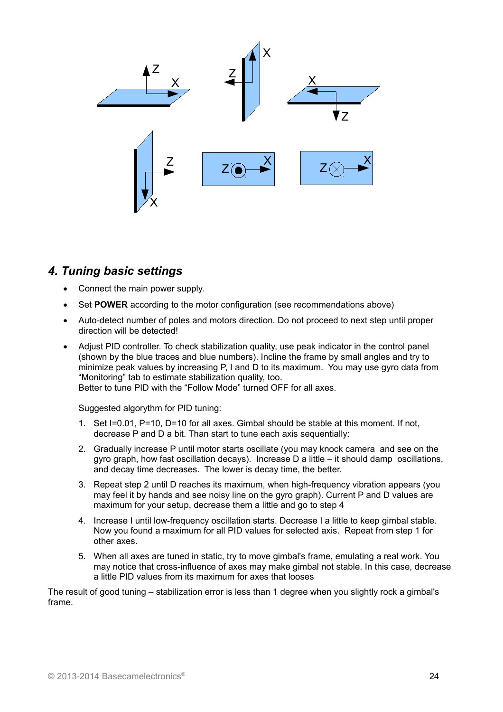

### *4. Tuning basic settings*

- Connect the main power supply.
- Set **POWER** according to the motor configuration (see recommendations above)
- Auto-detect number of poles and motors direction. Do not proceed to next step until proper direction will be detected!
- Adjust PID controller. To check stabilization quality, use peak indicator in the control panel (shown by the blue traces and blue numbers). Incline the frame by small angles and try to minimize peak values by increasing P, I and D to its maximum. You may use gyro data from "Monitoring" tab to estimate stabilization quality, too.

Better to tune PID with the "Follow Mode" turned OFF for all axes.

Suggested algorythm for PID tuning:

- 1. Set I=0.01, P=10, D=10 for all axes. Gimbal should be stable at this moment. If not, decrease P and D a bit. Than start to tune each axis sequentially:
- 2. Gradually increase P until motor starts oscillate (you may knock camera and see on the gyro graph, how fast oscillation decays). Increase D a little – it should damp oscillations, and decay time decreases. The lower is decay time, the better.
- 3. Repeat step 2 until D reaches its maximum, when high-frequency vibration appears (you may feel it by hands and see noisy line on the gyro graph). Current P and D values are maximum for your setup, decrease them a little and go to step 4
- 4. Increase I until low-frequency oscillation starts. Decrease I a little to keep gimbal stable. Now you found a maximum for all PID values for selected axis. Repeat from step 1 for other axes.
- 5. When all axes are tuned in static, try to move gimbal's frame, emulating a real work. You may notice that cross-influence of axes may make gimbal not stable. In this case, decrease a little PID values from its maximum for axes that looses

The result of good tuning – stabilization error is less than 1 degree when you slightly rock a gimbal's frame.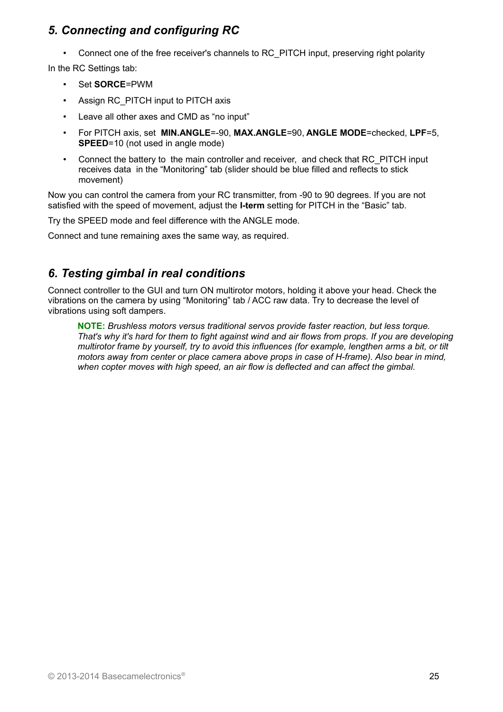## *5. Connecting and configuring RC*

• Connect one of the free receiver's channels to RC\_PITCH input, preserving right polarity

In the RC Settings tab:

- Set **SORCE**=PWM
- Assign RC\_PITCH input to PITCH axis
- Leave all other axes and CMD as "no input"
- For PITCH axis, set **MIN.ANGLE**=-90, **MAX.ANGLE**=90, **ANGLE MODE**=checked, **LPF**=5, **SPEED**=10 (not used in angle mode)
- Connect the battery to the main controller and receiver, and check that RC\_PITCH input receives data in the "Monitoring" tab (slider should be blue filled and reflects to stick movement)

Now you can control the camera from your RC transmitter, from -90 to 90 degrees. If you are not satisfied with the speed of movement, adjust the **I-term** setting for PITCH in the "Basic" tab.

Try the SPEED mode and feel difference with the ANGLE mode.

Connect and tune remaining axes the same way, as required.

## *6. Testing gimbal in real conditions*

Connect controller to the GUI and turn ON multirotor motors, holding it above your head. Check the vibrations on the camera by using "Monitoring" tab / ACC raw data. Try to decrease the level of vibrations using soft dampers.

**NOTE:** *Brushless motors versus traditional servos provide faster reaction, but less torque. That's why it's hard for them to fight against wind and air flows from props. If you are developing multirotor frame by yourself, try to avoid this influences (for example, lengthen arms a bit, or tilt motors away from center or place camera above props in case of H-frame). Also bear in mind, when copter moves with high speed, an air flow is deflected and can affect the gimbal.*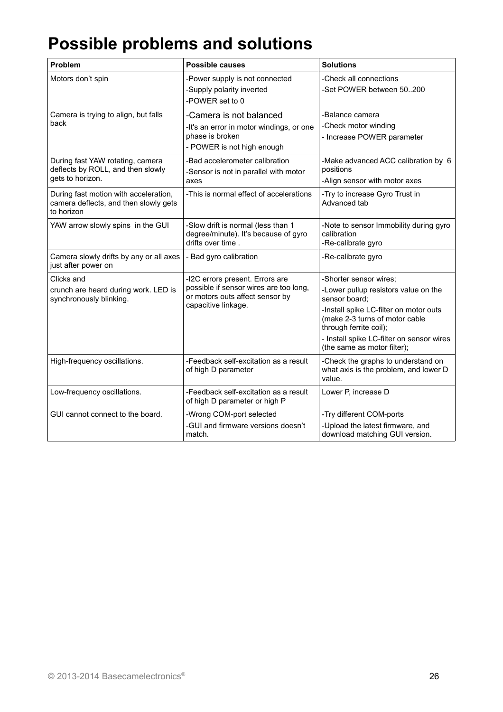# **Possible problems and solutions**

| Problem                                                                                      | <b>Possible causes</b>                                                                                                              | <b>Solutions</b>                                                                                                                                                                                                                                                  |
|----------------------------------------------------------------------------------------------|-------------------------------------------------------------------------------------------------------------------------------------|-------------------------------------------------------------------------------------------------------------------------------------------------------------------------------------------------------------------------------------------------------------------|
| Motors don't spin                                                                            | -Power supply is not connected<br>-Supply polarity inverted<br>-POWER set to 0                                                      | -Check all connections<br>-Set POWER between 50200                                                                                                                                                                                                                |
| Camera is trying to align, but falls<br>back                                                 | -Camera is not balanced<br>-It's an error in motor windings, or one<br>phase is broken<br>- POWER is not high enough                | -Balance camera<br>-Check motor winding<br>- Increase POWER parameter                                                                                                                                                                                             |
| During fast YAW rotating, camera<br>deflects by ROLL, and then slowly<br>gets to horizon.    | -Bad accelerometer calibration<br>-Sensor is not in parallel with motor<br>axes                                                     | -Make advanced ACC calibration by 6<br>positions<br>-Align sensor with motor axes                                                                                                                                                                                 |
| During fast motion with acceleration,<br>camera deflects, and then slowly gets<br>to horizon | -This is normal effect of accelerations                                                                                             | -Try to increase Gyro Trust in<br>Advanced tab                                                                                                                                                                                                                    |
| YAW arrow slowly spins in the GUI                                                            | -Slow drift is normal (less than 1<br>degree/minute). It's because of gyro<br>drifts over time.                                     | -Note to sensor Immobility during gyro<br>calibration<br>-Re-calibrate gyro                                                                                                                                                                                       |
| Camera slowly drifts by any or all axes<br>just after power on                               | - Bad gyro calibration                                                                                                              | -Re-calibrate gyro                                                                                                                                                                                                                                                |
| Clicks and<br>crunch are heard during work. LED is<br>synchronously blinking.                | -I2C errors present. Errors are<br>possible if sensor wires are too long,<br>or motors outs affect sensor by<br>capacitive linkage. | -Shorter sensor wires;<br>-Lower pullup resistors value on the<br>sensor board:<br>-Install spike LC-filter on motor outs<br>(make 2-3 turns of motor cable<br>through ferrite coil);<br>- Install spike LC-filter on sensor wires<br>(the same as motor filter); |
| High-frequency oscillations.                                                                 | -Feedback self-excitation as a result<br>of high D parameter                                                                        | -Check the graphs to understand on<br>what axis is the problem, and lower D<br>value.                                                                                                                                                                             |
| Low-frequency oscillations.                                                                  | -Feedback self-excitation as a result<br>of high D parameter or high P                                                              | Lower P, increase D                                                                                                                                                                                                                                               |
| GUI cannot connect to the board.                                                             | -Wrong COM-port selected<br>-GUI and firmware versions doesn't<br>match.                                                            | -Try different COM-ports<br>-Upload the latest firmware, and<br>download matching GUI version.                                                                                                                                                                    |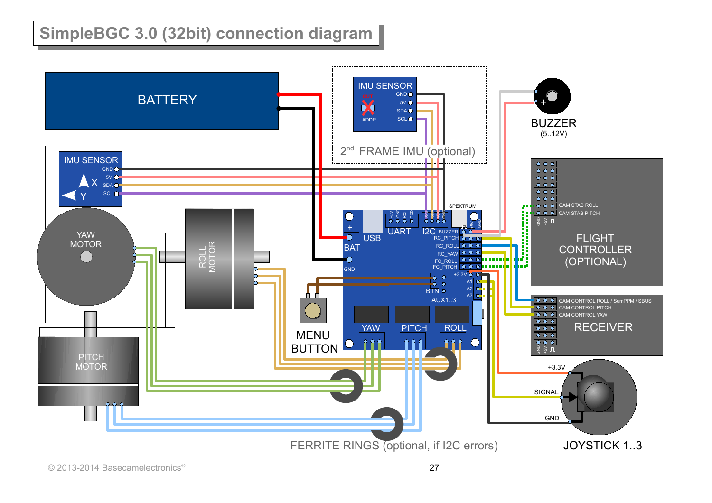# **SimpleBGC 3.0 (32bit) connection diagram**

<span id="page-26-0"></span>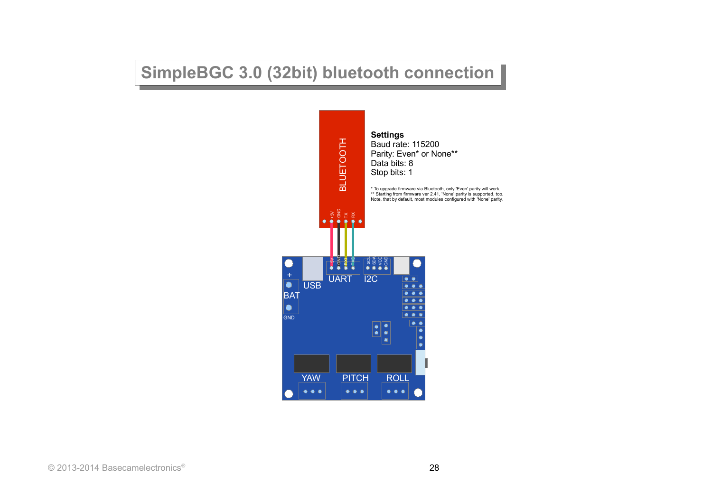## **SimpleBGC 3.0 (32bit) bluetooth connection**